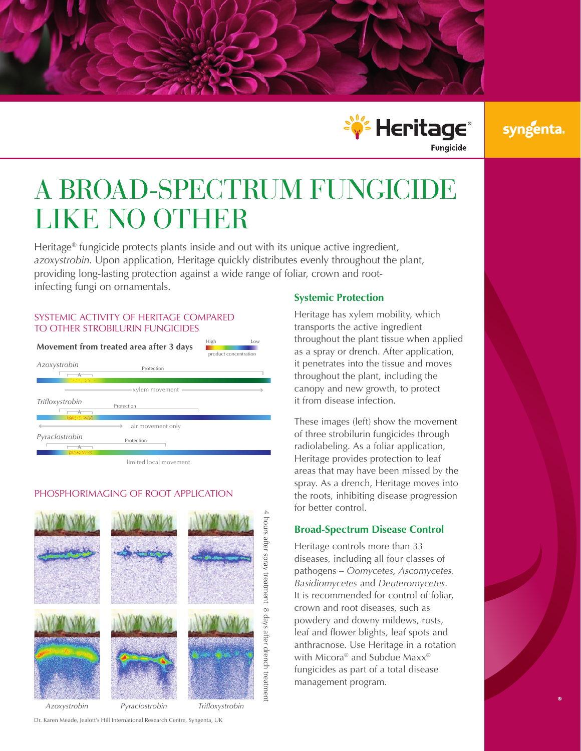



## syngenta

# A BROAD-SPECTRUM FUNGICIDE LIKE NO OTHER

Heritage<sup>®</sup> fungicide protects plants inside and out with its unique active ingredient, *azoxystrobin*. Upon application, Heritage quickly distributes evenly throughout the plant, providing long-lasting protection against a wide range of foliar, crown and rootinfecting fungi on ornamentals.

#### SYSTEMIC ACTIVITY OF HERITAGE COMPARED TO OTHER STROBILURIN FUNGICIDES

| Movement from treated area after 3 days |                   | High<br>Low<br>product concentration |
|-----------------------------------------|-------------------|--------------------------------------|
| Azoxystrobin<br>化过火 电极器                 | Protection        |                                      |
|                                         | xylem movement    |                                      |
| Trifloxystrobin<br>認定 (当時)注             | Protection        |                                      |
|                                         | air movement only |                                      |
| Pyraclostrobin                          | Protection        |                                      |
|                                         |                   |                                      |

limited local movement

## PHOSPHORIMAGING OF ROOT APPLICATION



#### Dr. Karen Meade, Jealott's Hill International Research Centre, Syngenta, UK

#### **Systemic Protection**

Heritage has xylem mobility, which transports the active ingredient throughout the plant tissue when applied as a spray or drench. After application, it penetrates into the tissue and moves throughout the plant, including the canopy and new growth, to protect it from disease infection.

These images (left) show the movement of three strobilurin fungicides through radiolabeling. As a foliar application, Heritage provides protection to leaf areas that may have been missed by the spray. As a drench, Heritage moves into the roots, inhibiting disease progression for better control.

#### **Broad-Spectrum Disease Control**

Heritage controls more than 33 diseases, including all four classes of pathogens – *Oomycetes, Ascomycetes, Basidiomycetes* and *Deuteromycetes*. It is recommended for control of foliar, crown and root diseases, such as powdery and downy mildews, rusts, leaf and flower blights, leaf spots and anthracnose. Use Heritage in a rotation with Micora® and Subdue Maxx® fungicides as part of a total disease management program.